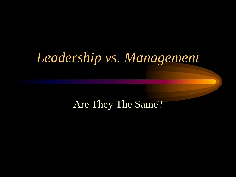### *Leadership vs. Management*

#### Are They The Same?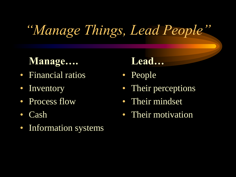# *"Manage Things, Lead People"*

### **Manage….**

- Financial ratios
- Inventory
- Process flow
- Cash
- Information systems

### **Lead…**

- People
- Their perceptions
- Their mindset
- Their motivation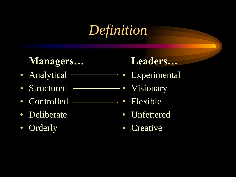## *Definition*

### **Managers…**

- Analytical –
- Structured • Visionary
- Controlled Flexible
- Deliberate Vnfettered
- Orderly

- **•** Experimental
	-
	-
	-
	- Creative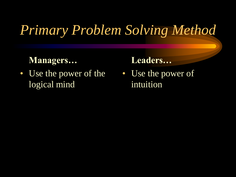# *Primary Problem Solving Method*

#### **Managers…**

• Use the power of the logical mind

#### **Leaders…**

• Use the power of intuition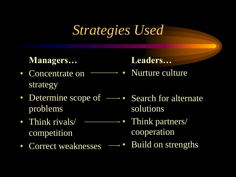## *Strategies Used*

#### **Managers…**

- Concentrate on Nurture culture strategy
- Determine scope of  $\longrightarrow$  Search for alternate problems
- Think rivals/ ———————• Think partners/ competition
- 

**Leaders…**

solutions

- cooperation
- Correct weaknesses  $\longrightarrow$  Build on strengths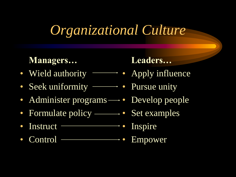# *Organizational Culture*

### **Managers…**

- Wield authority  **Apply influence**
- Seek uniformity • Pursue unity
- Administer programs  $\longrightarrow$  Develop people
- Formulate policy • Set examples
- Instruct -Inspire
- Control ———————————• Empower

#### Leaders...

- 
- 
- - -
		-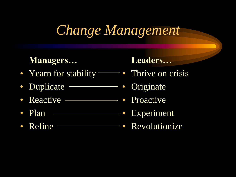# *Change Management*

#### **Managers…**

- Yearn for stability • Thrive on crisis
- Duplicate -**•** Originate
- Reactive ––––––––• Proactive
- Plan Bxperiment
- Refine Revolutionize

- 
- 
- 
- 
-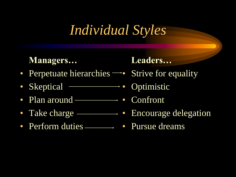## *Individual Styles*

#### **Managers…**

- Perpetuate hierarchies  $\rightarrow$  Strive for equality
- Skeptical • Optimistic
- Plan around • Confront
- Take charge ———————• Encourage delegation
- Perform duties Pursue dreams

- 
- 
- 
- 
-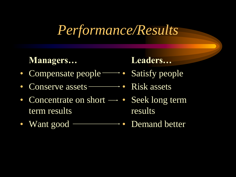### *Performance/Results*

#### **Managers…**

- Compensate people Satisfy people
- Conserve assets • Risk assets
- Concentrate on short  $\rightarrow \cdot$  Seek long term term results
- Want good -

- 
- 
- results
- Demand better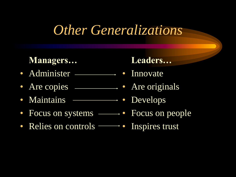### *Other Generalizations*

#### **Managers…**

- Administer • Innovate
- Are copies <u>entitled</u> Are originals
- Maintains Same Bevelops
- Focus on systems • Focus on people
- Relies on controls • Inspires trust

- 
- 
- 
- 
-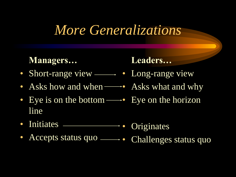### *More Generalizations*

#### **Managers…**

- Short-range view • Long-range view
- Asks how and when **••** Asks what and why
- Eye is on the bottom  $\longrightarrow$  Eye on the horizon line
- Initiates Originates
- Accepts status quo challenges status quo

- 
- 
-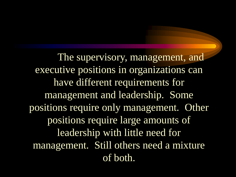The supervisory, management, and executive positions in organizations can have different requirements for management and leadership. Some positions require only management. Other positions require large amounts of leadership with little need for management. Still others need a mixture of both.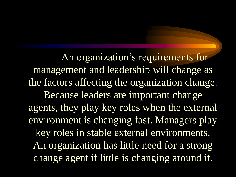An organization's requirements for management and leadership will change as the factors affecting the organization change. Because leaders are important change agents, they play key roles when the external environment is changing fast. Managers play key roles in stable external environments. An organization has little need for a strong change agent if little is changing around it.